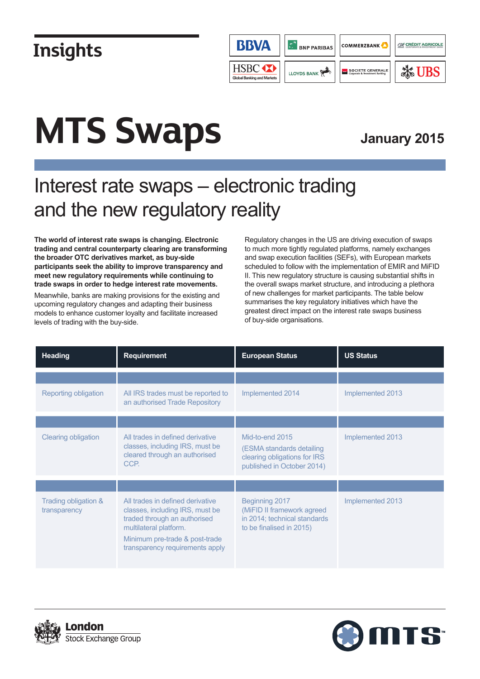

# **MTS Swaps**

### **January 2015**

### Interest rate swaps – electronic trading and the new regulatory reality

**The world of interest rate swaps is changing. Electronic trading and central counterparty clearing are transforming the broader OTC derivatives market, as buy-side participants seek the ability to improve transparency and meet new regulatory requirements while continuing to trade swaps in order to hedge interest rate movements.**

Meanwhile, banks are making provisions for the existing and upcoming regulatory changes and adapting their business models to enhance customer loyalty and facilitate increased levels of trading with the buy-side.

Regulatory changes in the US are driving execution of swaps to much more tightly regulated platforms, namely exchanges and swap execution facilities (SEFs), with European markets scheduled to follow with the implementation of EMIR and MiFID II. This new regulatory structure is causing substantial shifts in the overall swaps market structure, and introducing a plethora of new challenges for market participants. The table below summarises the key regulatory initiatives which have the greatest direct impact on the interest rate swaps business of buy-side organisations.

| <b>Heading</b>                       | <b>Requirement</b>                                                                                                                                                                                 | <b>European Status</b>                                                                                     | <b>US Status</b> |
|--------------------------------------|----------------------------------------------------------------------------------------------------------------------------------------------------------------------------------------------------|------------------------------------------------------------------------------------------------------------|------------------|
| Reporting obligation                 | All IRS trades must be reported to<br>an authorised Trade Repository                                                                                                                               | Implemented 2014                                                                                           | Implemented 2013 |
|                                      |                                                                                                                                                                                                    |                                                                                                            |                  |
| <b>Clearing obligation</b>           | All trades in defined derivative<br>classes, including IRS, must be<br>cleared through an authorised<br>CCP.                                                                                       | Mid-to-end 2015<br>(ESMA standards detailing<br>clearing obligations for IRS<br>published in October 2014) | Implemented 2013 |
|                                      |                                                                                                                                                                                                    |                                                                                                            |                  |
| Trading obligation &<br>transparency | All trades in defined derivative<br>classes, including IRS, must be<br>traded through an authorised<br>multilateral platform.<br>Minimum pre-trade & post-trade<br>transparency requirements apply | Beginning 2017<br>(MiFID II framework agreed<br>in 2014; technical standards<br>to be finalised in 2015)   | Implemented 2013 |



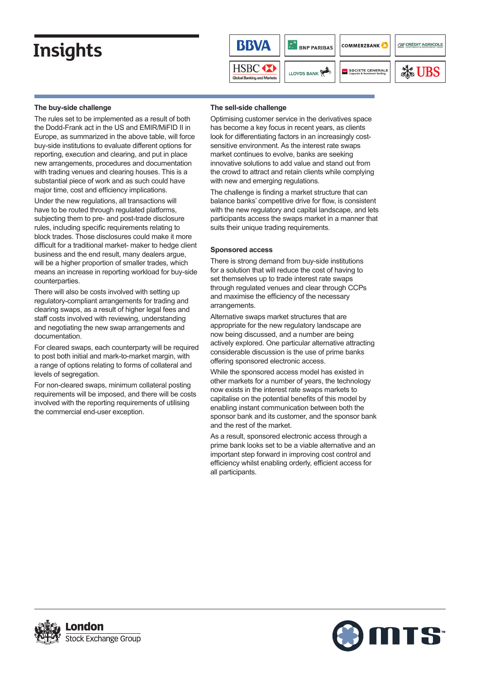

#### **The buy-side challenge**

The rules set to be implemented as a result of both the Dodd-Frank act in the US and EMIR/MiFID II in Europe, as summarized in the above table, will force buy-side institutions to evaluate different options for reporting, execution and clearing, and put in place new arrangements, procedures and documentation with trading venues and clearing houses. This is a substantial piece of work and as such could have major time, cost and efficiency implications.

Under the new regulations, all transactions will have to be routed through regulated platforms, subjecting them to pre- and post-trade disclosure rules, including specific requirements relating to block trades. Those disclosures could make it more difficult for a traditional market- maker to hedge client business and the end result, many dealers argue, will be a higher proportion of smaller trades, which means an increase in reporting workload for buy-side counterparties.

There will also be costs involved with setting up regulatory-compliant arrangements for trading and clearing swaps, as a result of higher legal fees and staff costs involved with reviewing, understanding and negotiating the new swap arrangements and documentation.

For cleared swaps, each counterparty will be required to post both initial and mark-to-market margin, with a range of options relating to forms of collateral and levels of segregation.

For non-cleared swaps, minimum collateral posting requirements will be imposed, and there will be costs involved with the reporting requirements of utilising the commercial end-user exception.

#### **The sell-side challenge**

Optimising customer service in the derivatives space has become a key focus in recent years, as clients look for differentiating factors in an increasingly costsensitive environment. As the interest rate swaps market continues to evolve, banks are seeking innovative solutions to add value and stand out from the crowd to attract and retain clients while complying with new and emerging regulations.

The challenge is finding a market structure that can balance banks' competitive drive for flow, is consistent with the new regulatory and capital landscape, and lets participants access the swaps market in a manner that suits their unique trading requirements.

#### **Sponsored access**

There is strong demand from buy-side institutions for a solution that will reduce the cost of having to set themselves up to trade interest rate swaps through regulated venues and clear through CCPs and maximise the efficiency of the necessary arrangements.

Alternative swaps market structures that are appropriate for the new regulatory landscape are now being discussed, and a number are being actively explored. One particular alternative attracting considerable discussion is the use of prime banks offering sponsored electronic access.

While the sponsored access model has existed in other markets for a number of years, the technology now exists in the interest rate swaps markets to capitalise on the potential benefits of this model by enabling instant communication between both the sponsor bank and its customer, and the sponsor bank and the rest of the market.

As a result, sponsored electronic access through a prime bank looks set to be a viable alternative and an important step forward in improving cost control and efficiency whilst enabling orderly, efficient access for all participants.



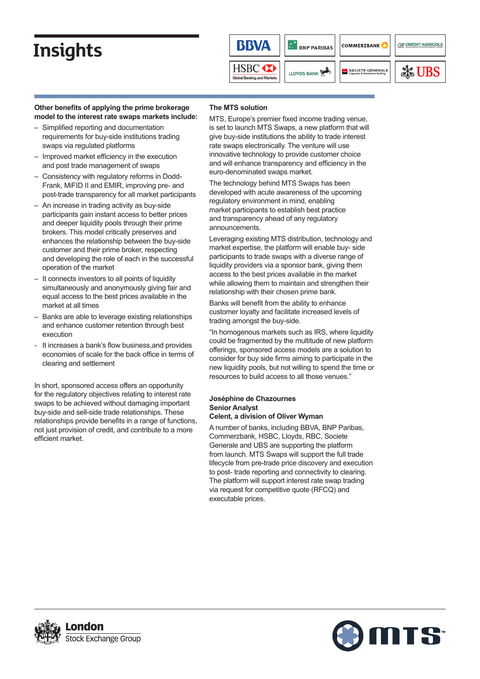

### **Other benefits of applying the prime brokerage model to the interest rate swaps markets include:**

- Simplified reporting and documentation requirements for buy-side institutions trading swaps via regulated platforms
- Improved market efficiency in the execution and post trade management of swaps
- Consistency with regulatory reforms in Dodd-Frank, MiFID II and EMIR, improving pre- and post-trade transparency for all market participants
- An increase in trading activity as buy-side participants gain instant access to better prices and deeper liquidity pools through their prime brokers. This model critically preserves and enhances the relationship between the buy-side customer and their prime broker, respecting and developing the role of each in the successful operation of the market
- It connects investors to all points of liquidity simultaneously and anonymously giving fair and equal access to the best prices available in the market at all times
- Banks are able to leverage existing relationships and enhance customer retention through best execution
- It increases a bank's flow business, and provides economies of scale for the back office in terms of clearing and settlement

In short, sponsored access offers an opportunity for the regulatory objectives relating to interest rate swaps to be achieved without damaging important buy-side and sell-side trade relationships. These relationships provide benefits in a range of functions, not just provision of credit, and contribute to a more efficient market.

### **The MTS solution**

MTS, Europe's premier fixed income trading venue, is set to launch MTS Swaps, a new platform that will give buy-side institutions the ability to trade interest rate swaps electronically. The venture will use innovative technology to provide customer choice and will enhance transparency and efficiency in the euro-denominated swaps market.

The technology behind MTS Swaps has been developed with acute awareness of the upcoming regulatory environment in mind, enabling market participants to establish best practice and transparency ahead of any regulatory announcements.

Leveraging existing MTS distribution, technology and market expertise, the platform will enable buy- side participants to trade swaps with a diverse range of liquidity providers via a sponsor bank, giving them access to the best prices available in the market while allowing them to maintain and strengthen their relationship with their chosen prime bank.

Banks will benefit from the ability to enhance customer loyalty and facilitate increased levels of trading amongst the buy-side.

"In homogenous markets such as IRS, where liquidity could be fragmented by the multitude of new platform offerings, sponsored access models are a solution to consider for buy side firms aiming to participate in the new liquidity pools, but not willing to spend the time or resources to build access to all those venues."

#### **Joséphine de Chazournes Senior Analyst Celent, a division of Oliver Wyman**

A number of banks, including BBVA, BNP Paribas, Commerzbank, HSBC, Lloyds, RBC, Societe Generale and UBS are supporting the platform from launch. MTS Swaps will support the full trade lifecycle from pre-trade price discovery and execution to post- trade reporting and connectivity to clearing. The platform will support interest rate swap trading via request for competitive quote (RFCQ) and executable prices.